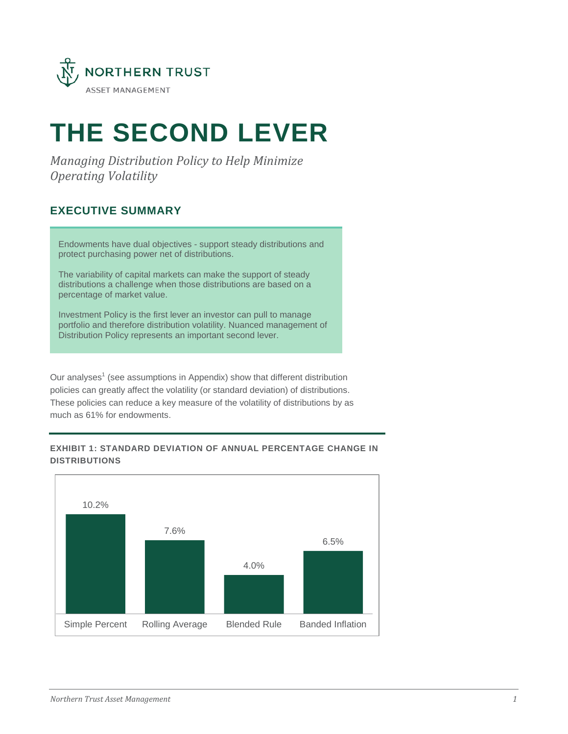

# **THE SECOND LEVER**

*Managing Distribution Policy to Help Minimize Operating Volatility*

# **EXECUTIVE SUMMARY**

Endowments have dual objectives - support steady distributions and protect purchasing power net of distributions.

The variability of capital markets can make the support of steady distributions a challenge when those distributions are based on a percentage of market value.

Investment Policy is the first lever an investor can pull to manage portfolio and therefore distribution volatility. Nuanced management of Distribution Policy represents an important second lever.

Our analyses<sup>1</sup> (see assumptions in Appendix) show that different distribution policies can greatly affect the volatility (or standard deviation) of distributions. These policies can reduce a key measure of the volatility of distributions by as much as 61% for endowments.

## **EXHIBIT 1: STANDARD DEVIATION OF ANNUAL PERCENTAGE CHANGE IN DISTRIBUTIONS**

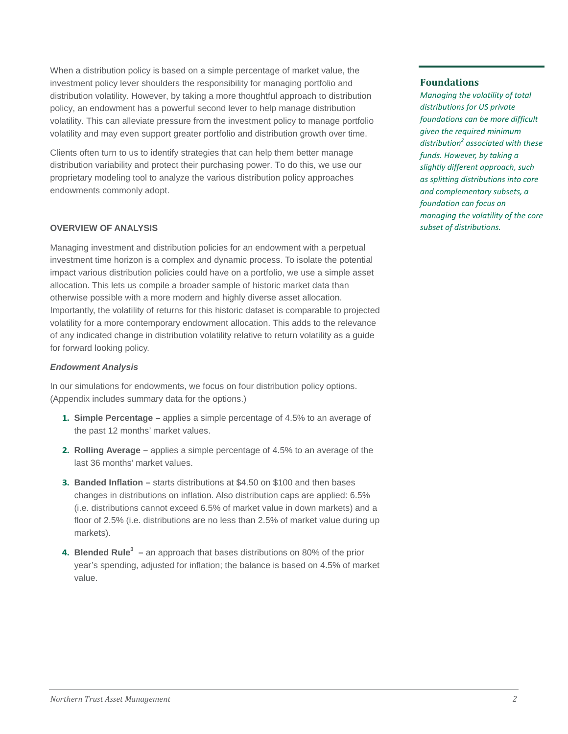When a distribution policy is based on a simple percentage of market value, the investment policy lever shoulders the responsibility for managing portfolio and distribution volatility. However, by taking a more thoughtful approach to distribution policy, an endowment has a powerful second lever to help manage distribution volatility. This can alleviate pressure from the investment policy to manage portfolio volatility and may even support greater portfolio and distribution growth over time.

Clients often turn to us to identify strategies that can help them better manage distribution variability and protect their purchasing power. To do this, we use our proprietary modeling tool to analyze the various distribution policy approaches endowments commonly adopt.

#### **OVERVIEW OF ANALYSIS**

Managing investment and distribution policies for an endowment with a perpetual investment time horizon is a complex and dynamic process. To isolate the potential impact various distribution policies could have on a portfolio, we use a simple asset allocation. This lets us compile a broader sample of historic market data than otherwise possible with a more modern and highly diverse asset allocation. Importantly, the volatility of returns for this historic dataset is comparable to projected volatility for a more contemporary endowment allocation. This adds to the relevance of any indicated change in distribution volatility relative to return volatility as a guide for forward looking policy.

#### *Endowment Analysis*

In our simulations for endowments, we focus on four distribution policy options. (Appendix includes summary data for the options.)

- **1. Simple Percentage –** applies a simple percentage of 4.5% to an average of the past 12 months' market values.
- **2. Rolling Average –** applies a simple percentage of 4.5% to an average of the last 36 months' market values.
- **3. Banded Inflation –** starts distributions at \$4.50 on \$100 and then bases changes in distributions on inflation. Also distribution caps are applied: 6.5% (i.e. distributions cannot exceed 6.5% of market value in down markets) and a floor of 2.5% (i.e. distributions are no less than 2.5% of market value during up markets).
- **4. Blended Rule3 –** an approach that bases distributions on 80% of the prior year's spending, adjusted for inflation; the balance is based on 4.5% of market value.

## **Foundations**

*Managing the volatility of total distributions for US private foundations can be more difficult given the required minimum distribution<sup>2</sup> associated with these funds. However, by taking a slightly different approach, such as splitting distributions into core and complementary subsets, a foundation can focus on managing the volatility of the core subset of distributions.*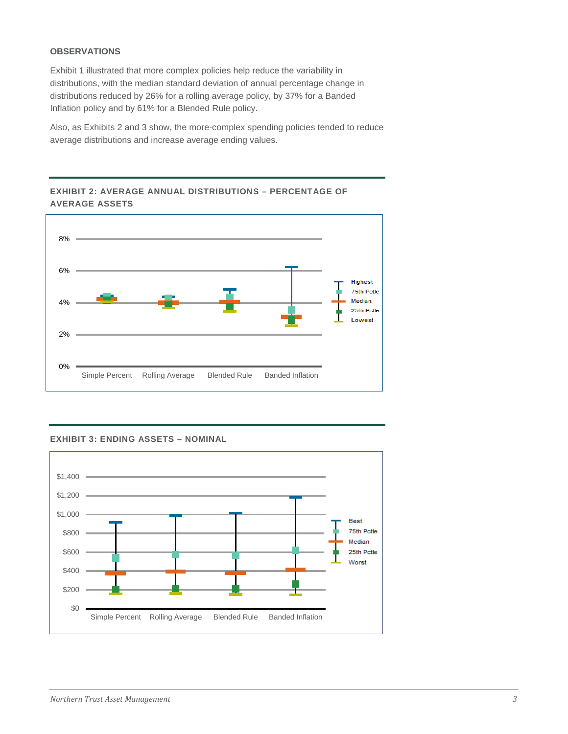#### **OBSERVATIONS**

Exhibit 1 illustrated that more complex policies help reduce the variability in distributions, with the median standard deviation of annual percentage change in distributions reduced by 26% for a rolling average policy, by 37% for a Banded Inflation policy and by 61% for a Blended Rule policy.

Also, as Exhibits 2 and 3 show, the more-complex spending policies tended to reduce average distributions and increase average ending values.



## **EXHIBIT 2: AVERAGE ANNUAL DISTRIBUTIONS – PERCENTAGE OF AVERAGE ASSETS**

**EXHIBIT 3: ENDING ASSETS – NOMINAL**

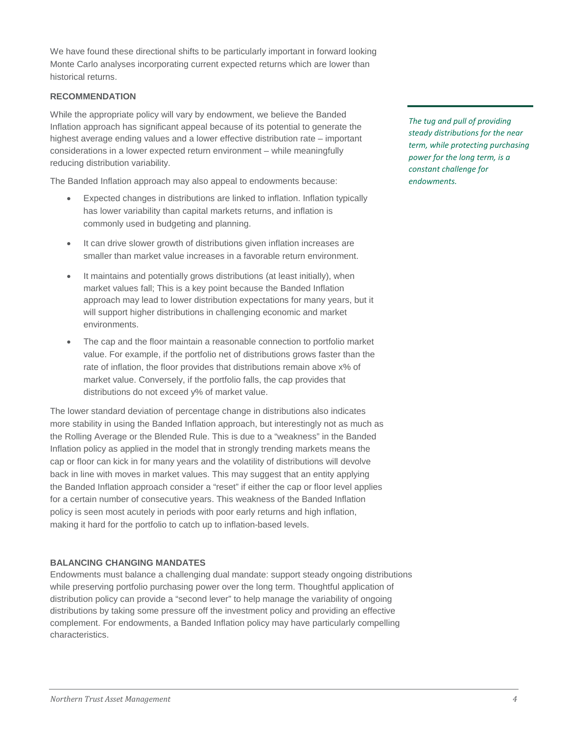We have found these directional shifts to be particularly important in forward looking Monte Carlo analyses incorporating current expected returns which are lower than historical returns.

#### **RECOMMENDATION**

While the appropriate policy will vary by endowment, we believe the Banded Inflation approach has significant appeal because of its potential to generate the highest average ending values and a lower effective distribution rate – important considerations in a lower expected return environment – while meaningfully reducing distribution variability.

The Banded Inflation approach may also appeal to endowments because:

- Expected changes in distributions are linked to inflation. Inflation typically has lower variability than capital markets returns, and inflation is commonly used in budgeting and planning.
- It can drive slower growth of distributions given inflation increases are smaller than market value increases in a favorable return environment.
- It maintains and potentially grows distributions (at least initially), when market values fall; This is a key point because the Banded Inflation approach may lead to lower distribution expectations for many years, but it will support higher distributions in challenging economic and market environments.
- The cap and the floor maintain a reasonable connection to portfolio market value. For example, if the portfolio net of distributions grows faster than the rate of inflation, the floor provides that distributions remain above x% of market value. Conversely, if the portfolio falls, the cap provides that distributions do not exceed y% of market value.

The lower standard deviation of percentage change in distributions also indicates more stability in using the Banded Inflation approach, but interestingly not as much as the Rolling Average or the Blended Rule. This is due to a "weakness" in the Banded Inflation policy as applied in the model that in strongly trending markets means the cap or floor can kick in for many years and the volatility of distributions will devolve back in line with moves in market values. This may suggest that an entity applying the Banded Inflation approach consider a "reset" if either the cap or floor level applies for a certain number of consecutive years. This weakness of the Banded Inflation policy is seen most acutely in periods with poor early returns and high inflation, making it hard for the portfolio to catch up to inflation-based levels.

### **BALANCING CHANGING MANDATES**

Endowments must balance a challenging dual mandate: support steady ongoing distributions while preserving portfolio purchasing power over the long term. Thoughtful application of distribution policy can provide a "second lever" to help manage the variability of ongoing distributions by taking some pressure off the investment policy and providing an effective complement. For endowments, a Banded Inflation policy may have particularly compelling characteristics.

*The tug and pull of providing steady distributions for the near term, while protecting purchasing power for the long term, is a constant challenge for endowments.*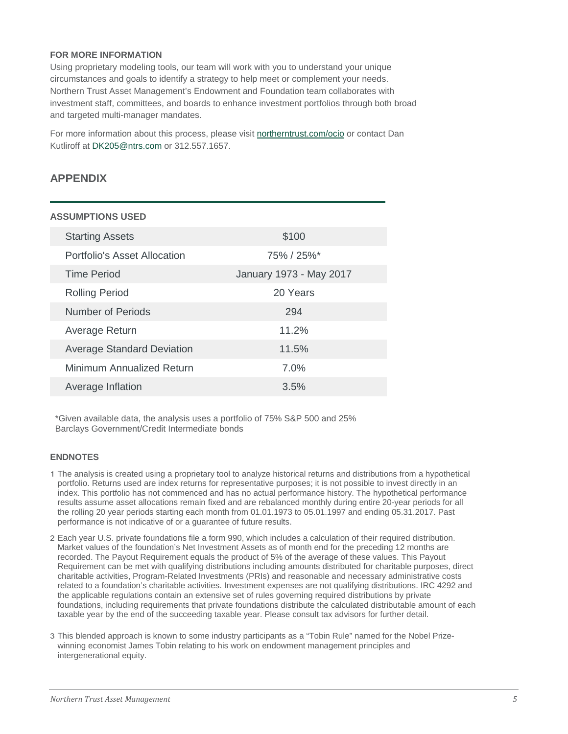#### **FOR MORE INFORMATION**

Using proprietary modeling tools, our team will work with you to understand your unique circumstances and goals to identify a strategy to help meet or complement your needs. Northern Trust Asset Management's Endowment and Foundation team collaborates with investment staff, committees, and boards to enhance investment portfolios through both broad and targeted multi-manager mandates.

For more information about this process, please visit [northerntrust.com/ocio](http://www.northerntrust.com/ocio) or contact Dan Kutliroff at [DK205@ntrs.com](mailto:DK205@ntrs.com) or 312.557.1657.

## **APPENDIX**

#### **ASSUMPTIONS USED**

| <b>Starting Assets</b>            | \$100                      |
|-----------------------------------|----------------------------|
| Portfolio's Asset Allocation      | $75\% / 25\%$ <sup>*</sup> |
| <b>Time Period</b>                | January 1973 - May 2017    |
| <b>Rolling Period</b>             | 20 Years                   |
| Number of Periods                 | 294                        |
| Average Return                    | 11.2%                      |
| <b>Average Standard Deviation</b> | 11.5%                      |
| Minimum Annualized Return         | 7.0%                       |
| Average Inflation                 | 3.5%                       |

\*Given available data, the analysis uses a portfolio of 75% S&P 500 and 25% Barclays Government/Credit Intermediate bonds

#### **ENDNOTES**

- 1 The analysis is created using a proprietary tool to analyze historical returns and distributions from a hypothetical portfolio. Returns used are index returns for representative purposes; it is not possible to invest directly in an index. This portfolio has not commenced and has no actual performance history. The hypothetical performance results assume asset allocations remain fixed and are rebalanced monthly during entire 20-year periods for all the rolling 20 year periods starting each month from 01.01.1973 to 05.01.1997 and ending 05.31.2017. Past performance is not indicative of or a guarantee of future results.
- 2 Each year U.S. private foundations file a form 990, which includes a calculation of their required distribution. Market values of the foundation's Net Investment Assets as of month end for the preceding 12 months are recorded. The Payout Requirement equals the product of 5% of the average of these values. This Payout Requirement can be met with qualifying distributions including amounts distributed for charitable purposes, direct charitable activities, Program-Related Investments (PRIs) and reasonable and necessary administrative costs related to a foundation's charitable activities. Investment expenses are not qualifying distributions. IRC 4292 and the applicable regulations contain an extensive set of rules governing required distributions by private foundations, including requirements that private foundations distribute the calculated distributable amount of each taxable year by the end of the succeeding taxable year. Please consult tax advisors for further detail.
- 3 This blended approach is known to some industry participants as a "Tobin Rule" named for the Nobel Prizewinning economist James Tobin relating to his work on endowment management principles and intergenerational equity.